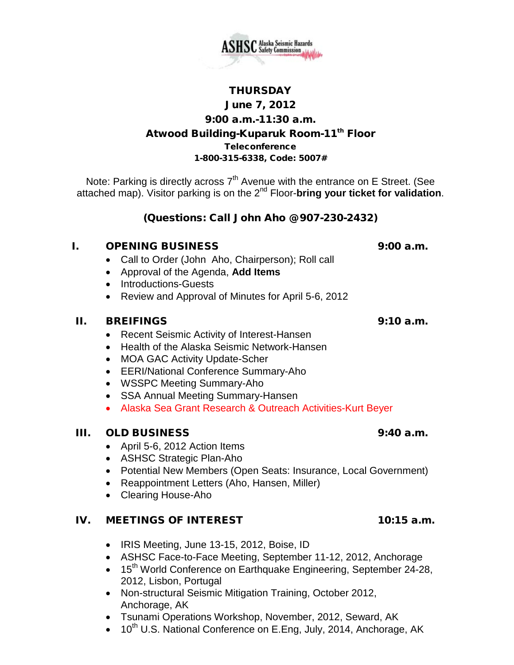

# **THURSDAY**

# June 7, 2012

#### 9:00 a.m.-11:30 a.m.

# Atwood Building-Kuparuk Room-11<sup>th</sup> Floor

**Teleconference** 

#### 1-800-315-6338, Code: 5007#

Note: Parking is directly across  $7<sup>th</sup>$  Avenue with the entrance on E Street. (See attached map). Visitor parking is on the 2nd Floor-**bring your ticket for validation**.

# (Questions: Call John Aho @ 907-230-2432)

## I. OPENING BUSINESS 9:00 a.m.

- Call to Order (John Aho, Chairperson); Roll call
- Approval of the Agenda, **Add Items**
- Introductions-Guests
- Review and Approval of Minutes for April 5-6, 2012

#### II. BREIFINGS 9:10 a.m.

- Recent Seismic Activity of Interest-Hansen
- Health of the Alaska Seismic Network-Hansen
- MOA GAC Activity Update-Scher
- EERI/National Conference Summary-Aho
- WSSPC Meeting Summary-Aho
- SSA Annual Meeting Summary-Hansen
- Alaska Sea Grant Research & Outreach Activities-Kurt Beyer

## III. OLD BUSINESS 9:40 a.m.

- April 5-6, 2012 Action Items
- ASHSC Strategic Plan-Aho
- Potential New Members (Open Seats: Insurance, Local Government)
- Reappointment Letters (Aho, Hansen, Miller)
- Clearing House-Aho

## IV. MEETINGS OF INTEREST 10:15 a.m.

- IRIS Meeting, June 13-15, 2012, Boise, ID
- ASHSC Face-to-Face Meeting, September 11-12, 2012, Anchorage
- 15<sup>th</sup> World Conference on Earthquake Engineering, September 24-28, 2012, Lisbon, Portugal
- Non-structural Seismic Mitigation Training, October 2012, Anchorage, AK
- Tsunami Operations Workshop, November, 2012, Seward, AK
- 10<sup>th</sup> U.S. National Conference on E.Eng, July, 2014, Anchorage, AK